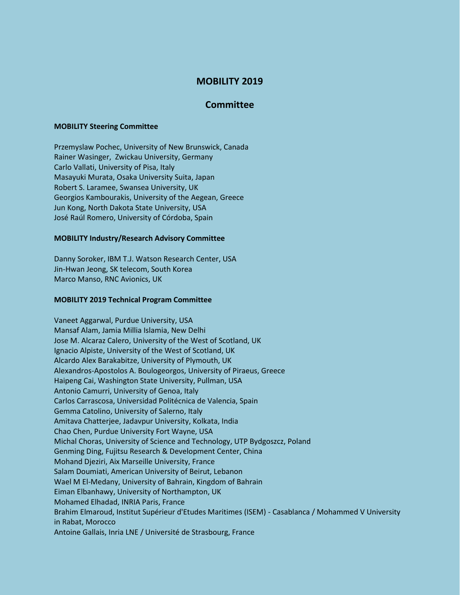# **MOBILITY 2019**

## **Committee**

### **MOBILITY Steering Committee**

Przemyslaw Pochec, University of New Brunswick, Canada Rainer Wasinger, Zwickau University, Germany Carlo Vallati, University of Pisa, Italy Masayuki Murata, Osaka University Suita, Japan Robert S. Laramee, Swansea University, UK Georgios Kambourakis, University of the Aegean, Greece Jun Kong, North Dakota State University, USA José Raúl Romero, University of Córdoba, Spain

#### **MOBILITY Industry/Research Advisory Committee**

Danny Soroker, IBM T.J. Watson Research Center, USA Jin-Hwan Jeong, SK telecom, South Korea Marco Manso, RNC Avionics, UK

### **MOBILITY 2019 Technical Program Committee**

Vaneet Aggarwal, Purdue University, USA Mansaf Alam, Jamia Millia Islamia, New Delhi Jose M. Alcaraz Calero, University of the West of Scotland, UK Ignacio Alpiste, University of the West of Scotland, UK Alcardo Alex Barakabitze, University of Plymouth, UK Alexandros-Apostolos A. Boulogeorgos, University of Piraeus, Greece Haipeng Cai, Washington State University, Pullman, USA Antonio Camurri, University of Genoa, Italy Carlos Carrascosa, Universidad Politécnica de Valencia, Spain Gemma Catolino, University of Salerno, Italy Amitava Chatterjee, Jadavpur University, Kolkata, India Chao Chen, Purdue University Fort Wayne, USA Michal Choras, University of Science and Technology, UTP Bydgoszcz, Poland Genming Ding, Fujitsu Research & Development Center, China Mohand Djeziri, Aix Marseille University, France Salam Doumiati, American University of Beirut, Lebanon Wael M El-Medany, University of Bahrain, Kingdom of Bahrain Eiman Elbanhawy, University of Northampton, UK Mohamed Elhadad, INRIA Paris, France Brahim Elmaroud, Institut Supérieur d'Etudes Maritimes (ISEM) - Casablanca / Mohammed V University in Rabat, Morocco Antoine Gallais, Inria LNE / Université de Strasbourg, France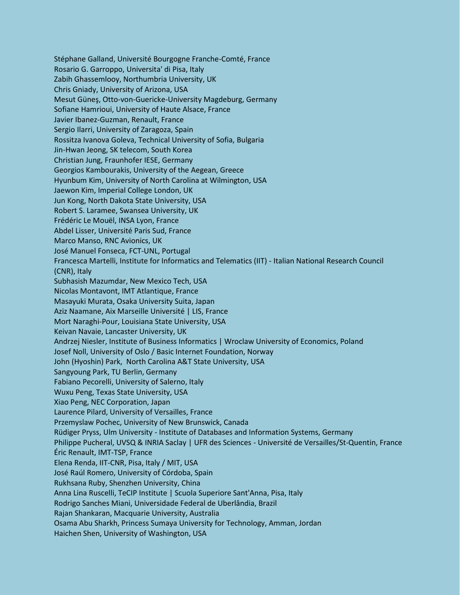Stéphane Galland, Université Bourgogne Franche-Comté, France Rosario G. Garroppo, Universita' di Pisa, Italy Zabih Ghassemlooy, Northumbria University, UK Chris Gniady, University of Arizona, USA Mesut Güneş, Otto-von-Guericke-University Magdeburg, Germany Sofiane Hamrioui, University of Haute Alsace, France Javier Ibanez-Guzman, Renault, France Sergio Ilarri, University of Zaragoza, Spain Rossitza Ivanova Goleva, Technical University of Sofia, Bulgaria Jin-Hwan Jeong, SK telecom, South Korea Christian Jung, Fraunhofer IESE, Germany Georgios Kambourakis, University of the Aegean, Greece Hyunbum Kim, University of North Carolina at Wilmington, USA Jaewon Kim, Imperial College London, UK Jun Kong, North Dakota State University, USA Robert S. Laramee, Swansea University, UK Frédéric Le Mouël, INSA Lyon, France Abdel Lisser, Université Paris Sud, France Marco Manso, RNC Avionics, UK José Manuel Fonseca, FCT-UNL, Portugal Francesca Martelli, Institute for Informatics and Telematics (IIT) - Italian National Research Council (CNR), Italy Subhasish Mazumdar, New Mexico Tech, USA Nicolas Montavont, IMT Atlantique, France Masayuki Murata, Osaka University Suita, Japan Aziz Naamane, Aix Marseille Université | LIS, France Mort Naraghi-Pour, Louisiana State University, USA Keivan Navaie, Lancaster University, UK Andrzej Niesler, Institute of Business Informatics | Wroclaw University of Economics, Poland Josef Noll, University of Oslo / Basic Internet Foundation, Norway John (Hyoshin) Park, North Carolina A&T State University, USA Sangyoung Park, TU Berlin, Germany Fabiano Pecorelli, University of Salerno, Italy Wuxu Peng, Texas State University, USA Xiao Peng, NEC Corporation, Japan Laurence Pilard, University of Versailles, France Przemyslaw Pochec, University of New Brunswick, Canada Rüdiger Pryss, Ulm University - Institute of Databases and Information Systems, Germany Philippe Pucheral, UVSQ & INRIA Saclay | UFR des Sciences - Université de Versailles/St-Quentin, France Éric Renault, IMT-TSP, France Elena Renda, IIT-CNR, Pisa, Italy / MIT, USA José Raúl Romero, University of Córdoba, Spain Rukhsana Ruby, Shenzhen University, China Anna Lina Ruscelli, TeCIP Institute | Scuola Superiore Sant'Anna, Pisa, Italy Rodrigo Sanches Miani, Universidade Federal de Uberlândia, Brazil Rajan Shankaran, Macquarie University, Australia Osama Abu Sharkh, Princess Sumaya University for Technology, Amman, Jordan Haichen Shen, University of Washington, USA